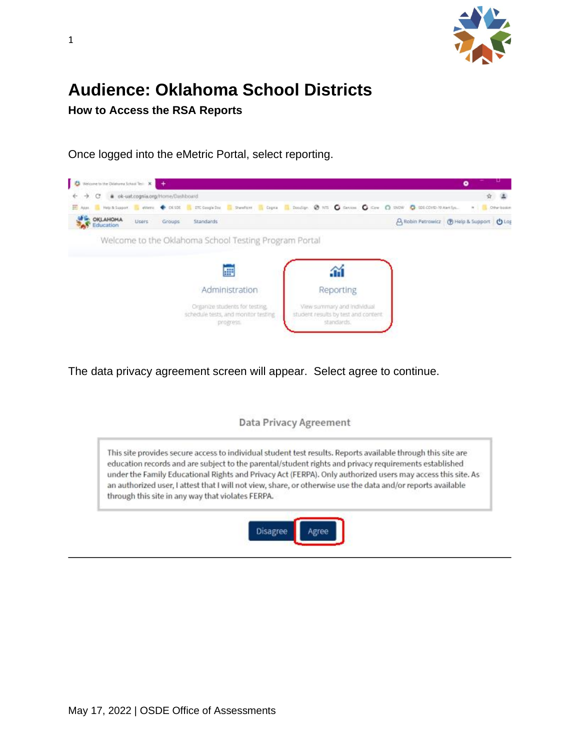

As

## **Audience: Oklahoma School Districts**

**How to Access the RSA Reports**

Once logged into the eMetric Portal, select reporting.



The data privacy agreement screen will appear. Select agree to continue.

| Data Privacy Agreement                                                                                                                                                                                                                                                                                                                                                                                                                                                                                 |  |  |  |  |  |
|--------------------------------------------------------------------------------------------------------------------------------------------------------------------------------------------------------------------------------------------------------------------------------------------------------------------------------------------------------------------------------------------------------------------------------------------------------------------------------------------------------|--|--|--|--|--|
| This site provides secure access to individual student test results. Reports available through this site are<br>education records and are subject to the parental/student rights and privacy requirements established<br>under the Family Educational Rights and Privacy Act (FERPA). Only authorized users may access this site.<br>an authorized user, I attest that I will not view, share, or otherwise use the data and/or reports available<br>through this site in any way that violates FERPA. |  |  |  |  |  |

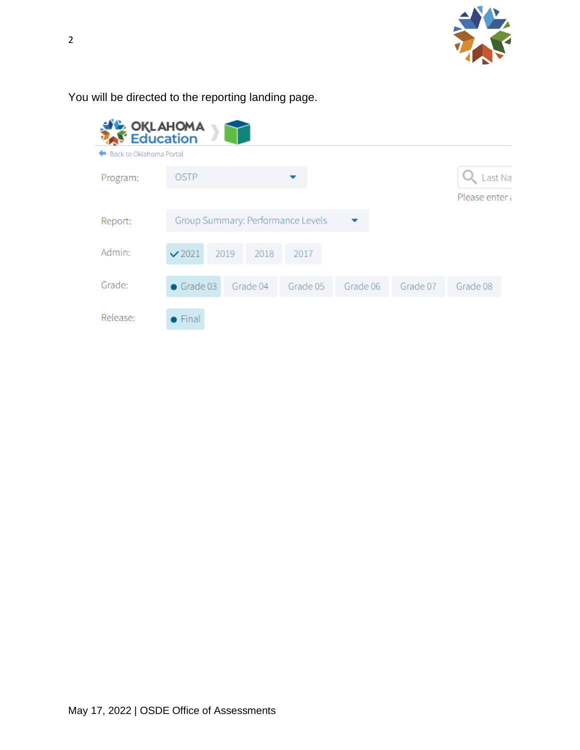

You will be directed to the reporting landing page.

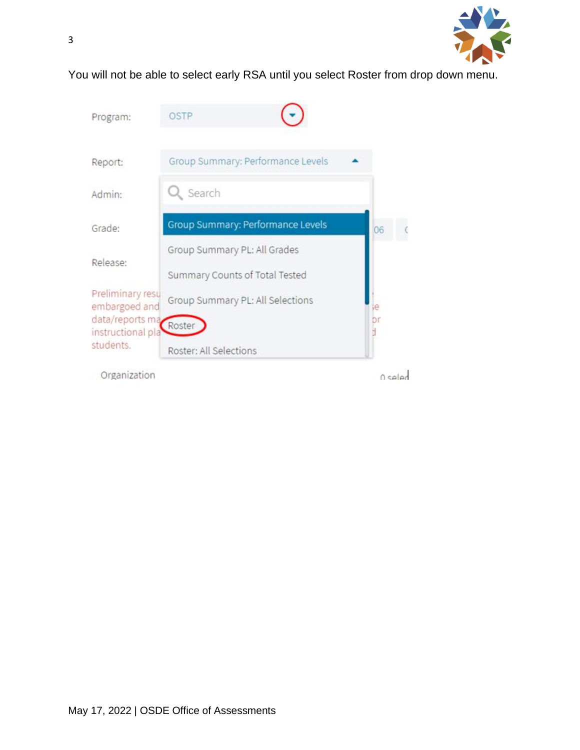

You will not be able to select early RSA until you select Roster from drop down menu.

| Program:                                          | OSTP                                                           |         |           |
|---------------------------------------------------|----------------------------------------------------------------|---------|-----------|
| Report:                                           | Group Summary: Performance Levels                              |         |           |
| Admin:                                            | & Search                                                       |         |           |
| Grade:                                            | Group Summary: Performance Levels                              | 06      |           |
| Release:                                          | Group Summary PL: All Grades<br>Summary Counts of Total Tested |         |           |
| Preliminary resu<br>embargoed and                 | Group Summary PL: All Selections                               | te      |           |
| data/reports ma<br>instructional pla<br>students. | Roster                                                         | Dľ<br>đ |           |
|                                                   | Roster: All Selections                                         |         |           |
| Organization                                      |                                                                |         | $0$ seler |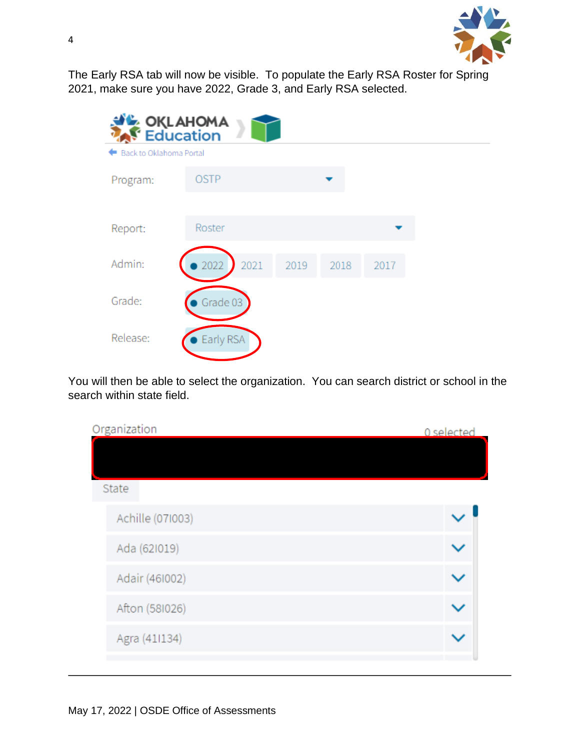

The Early RSA tab will now be visible. To populate the Early RSA Roster for Spring 2021, make sure you have 2022, Grade 3, and Early RSA selected.

| <b>CONCERNATION</b><br>A Education |              |      |      |      |
|------------------------------------|--------------|------|------|------|
| Back to Oklahoma Portal            |              |      |      |      |
| Program:                           | <b>OSTP</b>  |      |      |      |
|                                    |              |      |      |      |
| Report:                            | Roster       |      |      |      |
| Admin:                             | 2022<br>2021 | 2019 | 2018 | 2017 |
| Grade:                             | Grade 03     |      |      |      |
| Release:                           | Early RSA    |      |      |      |

You will then be able to select the organization. You can search district or school in the search within state field.

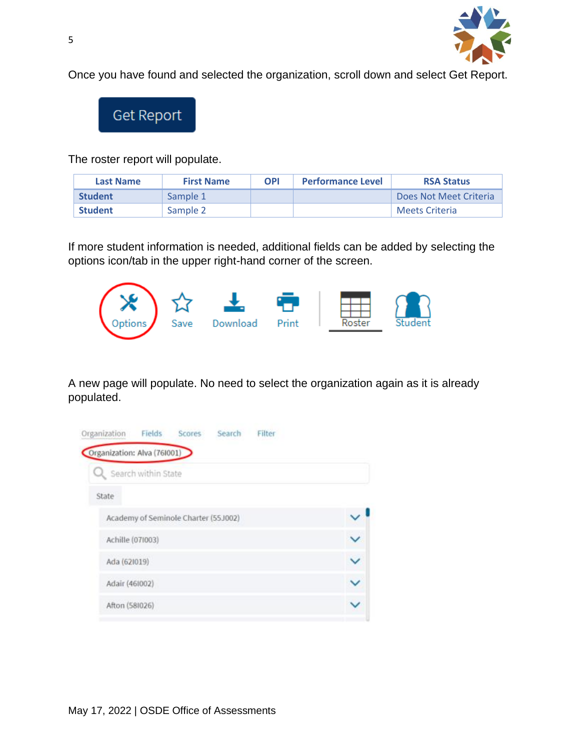

Once you have found and selected the organization, scroll down and select Get Report.



The roster report will populate.

| <b>Last Name</b> | <b>First Name</b> | <b>OPI</b> | <b>Performance Level</b> | <b>RSA Status</b>      |
|------------------|-------------------|------------|--------------------------|------------------------|
| <b>Student</b>   | Sample 1          |            |                          | Does Not Meet Criteria |
| <b>Student</b>   | Sample 2          |            |                          | <b>Meets Criteria</b>  |

If more student information is needed, additional fields can be added by selecting the options icon/tab in the upper right-hand corner of the screen.



A new page will populate. No need to select the organization again as it is already populated.

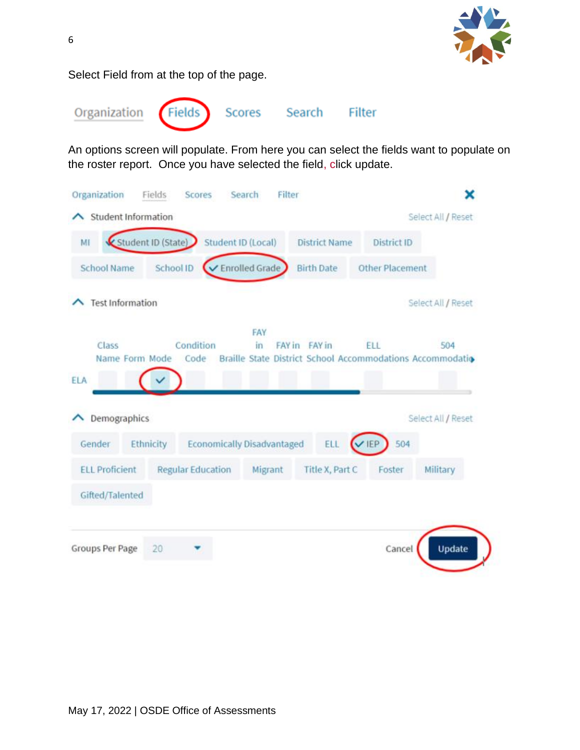

Select Field from at the top of the page.



An options screen will populate. From here you can select the fields want to populate on the roster report. Once you have selected the field, click update.